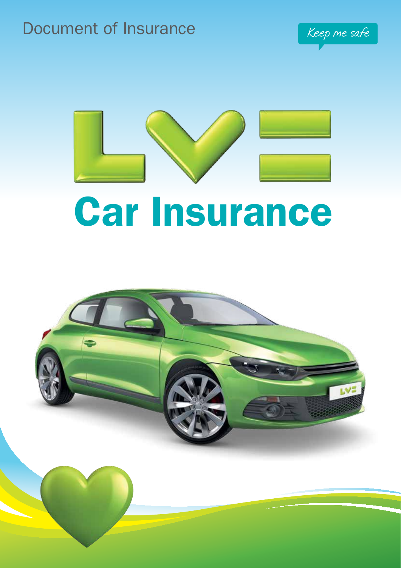# Document of Insurance Keep me safe





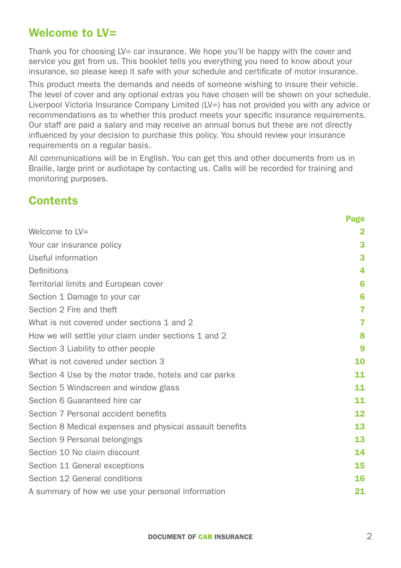## <span id="page-1-0"></span>Welcome to LV=

Thank you for choosing  $LV =$  car insurance. We hope you'll be happy with the cover and service you get from us. This booklet tells you everything you need to know about your insurance, so please keep it safe with your schedule and certificate of motor insurance.

This product meets the demands and needs of someone wishing to insure their vehicle. The level of cover and any optional extras you have chosen will be shown on your schedule. Liverpool Victoria Insurance Company Limited (LV=) has not provided you with any advice or recommendations as to whether this product meets your specific insurance requirements. Our staff are paid a salary and may receive an annual bonus but these are not directly influenced by your decision to purchase this policy. You should review your insurance requirements on a regular basis.

All communications will be in English. You can get this and other documents from us in Braille, large print or audiotape by contacting us. Calls will be recorded for training and monitoring purposes.

## **Contents**

|                                                          | <b>Page</b>  |
|----------------------------------------------------------|--------------|
| Welcome to $LV=$                                         | $\mathbf{2}$ |
| Your car insurance policy                                | 3            |
| Useful information                                       | 3            |
| Definitions                                              | 4            |
| Territorial limits and European cover                    | 6            |
| Section 1 Damage to your car                             | 6            |
| Section 2 Fire and theft                                 | 7            |
| What is not covered under sections 1 and 2               | 7            |
| How we will settle your claim under sections 1 and 2     | 8            |
| Section 3 Liability to other people                      | 9            |
| What is not covered under section 3                      | 10           |
| Section 4 Use by the motor trade, hotels and car parks   | 11           |
| Section 5 Windscreen and window glass                    | 11           |
| Section 6 Guaranteed hire car                            | 11           |
| Section 7 Personal accident benefits                     | 12           |
| Section 8 Medical expenses and physical assault benefits | 13           |
| Section 9 Personal belongings                            | 13           |
| Section 10 No claim discount                             | 14           |
| Section 11 General exceptions                            | 15           |
| Section 12 General conditions                            | 16           |
| A summary of how we use your personal information        | 21           |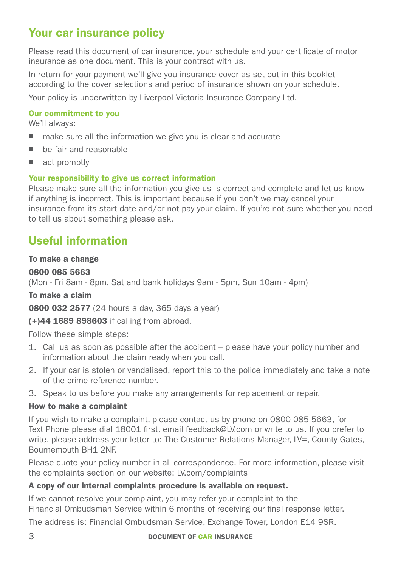## <span id="page-2-0"></span>Your car insurance policy

Please read this document of car insurance, your schedule and your certificate of motor insurance as one document. This is your contract with us.

In return for your payment we'll give you insurance cover as set out in this booklet according to the cover selections and period of insurance shown on your schedule.

Your policy is underwritten by Liverpool Victoria Insurance Company Ltd.

#### Our commitment to you

We'll always:

- $\blacksquare$  make sure all the information we give you is clear and accurate
- $\blacksquare$  be fair and reasonable
- $\blacksquare$  act promptly

#### Your responsibility to give us correct information

Please make sure all the information you give us is correct and complete and let us know if anything is incorrect. This is important because if you don't we may cancel your insurance from its start date and/or not pay your claim. If you're not sure whether you need to tell us about something please ask.

## <span id="page-2-1"></span>Useful information

#### To make a change

#### 0800 085 5663

(Mon - Fri 8am - 8pm, Sat and bank holidays 9am - 5pm, Sun 10am - 4pm)

#### To make a claim

0800 032 2577 (24 hours a day, 365 days a year)

(+)44 1689 898603 if calling from abroad.

Follow these simple steps:

- 1. Call us as soon as possible after the accident please have your policy number and information about the claim ready when you call.
- 2. If your car is stolen or vandalised, report this to the police immediately and take a note of the crime reference number.
- 3. Speak to us before you make any arrangements for replacement or repair.

#### How to make a complaint

If you wish to make a complaint, please contact us by phone on 0800 085 5663, for Text Phone please dial 18001 first, email feedback@LV.com or write to us. If you prefer to write, please address your letter to: The Customer Relations Manager, LV=, County Gates, Bournemouth BH1 2NF.

Please quote your policy number in all correspondence. For more information, please visit the complaints section on our website: [LV.com/complaints](http://www.lv.com/complaints)

#### A copy of our internal complaints procedure is available on request.

If we cannot resolve your complaint, you may refer your complaint to the Financial Ombudsman Service within 6 months of receiving our final response letter.

The address is: Financial Ombudsman Service, Exchange Tower, London E14 9SR.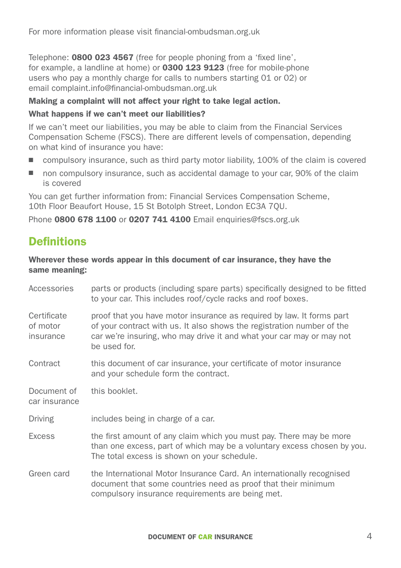Telephone: 0800 023 4567 (free for people phoning from a 'fixed line', for example, a landline at home) or **0300 123 9123** (free for mobile-phone users who pay a monthly charge for calls to numbers starting 01 or 02) or email complaint.info@financial-ombudsman.org.uk

#### Making a complaint will not affect your right to take legal action.

#### What happens if we can't meet our liabilities?

If we can't meet our liabilities, you may be able to claim from the Financial Services Compensation Scheme (FSCS). There are different levels of compensation, depending on what kind of insurance you have:

- $\Box$  compulsory insurance, such as third party motor liability, 100% of the claim is covered
- non compulsory insurance, such as accidental damage to your car, 90% of the claim is covered

You can get further information from: Financial Services Compensation Scheme, 10th Floor Beaufort House, 15 St Botolph Street, London EC3A 7QU.

Phone 0800 678 1100 or 0207 741 4100 Email enquiries@fscs.org.uk

## <span id="page-3-0"></span>**Definitions**

#### Wherever these words appear in this document of car insurance, they have the same meaning:

| Accessories                          | parts or products (including spare parts) specifically designed to be fitted<br>to your car. This includes roof/cycle racks and roof boxes.                                                                                              |
|--------------------------------------|------------------------------------------------------------------------------------------------------------------------------------------------------------------------------------------------------------------------------------------|
| Certificate<br>of motor<br>insurance | proof that you have motor insurance as required by law. It forms part<br>of your contract with us. It also shows the registration number of the<br>car we're insuring, who may drive it and what your car may or may not<br>be used for. |
| Contract                             | this document of car insurance, your certificate of motor insurance<br>and your schedule form the contract.                                                                                                                              |
| Document of<br>car insurance         | this booklet.                                                                                                                                                                                                                            |
| Driving                              | includes being in charge of a car.                                                                                                                                                                                                       |
| Excess                               | the first amount of any claim which you must pay. There may be more<br>than one excess, part of which may be a voluntary excess chosen by you.<br>The total excess is shown on your schedule.                                            |
| Green card                           | the International Motor Insurance Card. An internationally recognised<br>document that some countries need as proof that their minimum<br>compulsory insurance requirements are being met.                                               |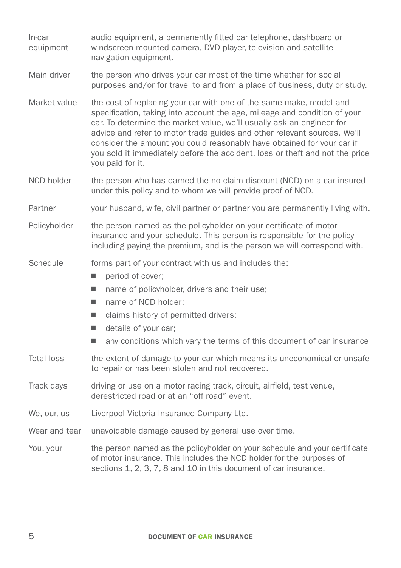| In-car<br>equipment | audio equipment, a permanently fitted car telephone, dashboard or<br>windscreen mounted camera, DVD player, television and satellite<br>navigation equipment.                                                                                                                                                                                                                                                                                                                       |  |  |
|---------------------|-------------------------------------------------------------------------------------------------------------------------------------------------------------------------------------------------------------------------------------------------------------------------------------------------------------------------------------------------------------------------------------------------------------------------------------------------------------------------------------|--|--|
| Main driver         | the person who drives your car most of the time whether for social<br>purposes and/or for travel to and from a place of business, duty or study.                                                                                                                                                                                                                                                                                                                                    |  |  |
| Market value        | the cost of replacing your car with one of the same make, model and<br>specification, taking into account the age, mileage and condition of your<br>car. To determine the market value, we'll usually ask an engineer for<br>advice and refer to motor trade guides and other relevant sources. We'll<br>consider the amount you could reasonably have obtained for your car if<br>you sold it immediately before the accident, loss or theft and not the price<br>you paid for it. |  |  |
| NCD holder          | the person who has earned the no claim discount (NCD) on a car insured<br>under this policy and to whom we will provide proof of NCD.                                                                                                                                                                                                                                                                                                                                               |  |  |
| Partner             | your husband, wife, civil partner or partner you are permanently living with.                                                                                                                                                                                                                                                                                                                                                                                                       |  |  |
| Policyholder        | the person named as the policyholder on your certificate of motor<br>insurance and your schedule. This person is responsible for the policy<br>including paying the premium, and is the person we will correspond with.                                                                                                                                                                                                                                                             |  |  |
| Schedule            | forms part of your contract with us and includes the:<br>period of cover;<br>ш<br>ш<br>name of policyholder, drivers and their use;<br>name of NCD holder:<br>ш<br>claims history of permitted drivers;<br>ш<br>details of your car;<br>ш<br>any conditions which vary the terms of this document of car insurance<br>ш                                                                                                                                                             |  |  |
| <b>Total loss</b>   | the extent of damage to your car which means its uneconomical or unsafe<br>to repair or has been stolen and not recovered.                                                                                                                                                                                                                                                                                                                                                          |  |  |
| Track days          | driving or use on a motor racing track, circuit, airfield, test venue,<br>derestricted road or at an "off road" event.                                                                                                                                                                                                                                                                                                                                                              |  |  |
| We, our, us         | Liverpool Victoria Insurance Company Ltd.                                                                                                                                                                                                                                                                                                                                                                                                                                           |  |  |
| Wear and tear       | unavoidable damage caused by general use over time.                                                                                                                                                                                                                                                                                                                                                                                                                                 |  |  |
| You, your           | the person named as the policyholder on your schedule and your certificate<br>of motor insurance. This includes the NCD holder for the purposes of<br>sections 1, 2, 3, 7, 8 and 10 in this document of car insurance.                                                                                                                                                                                                                                                              |  |  |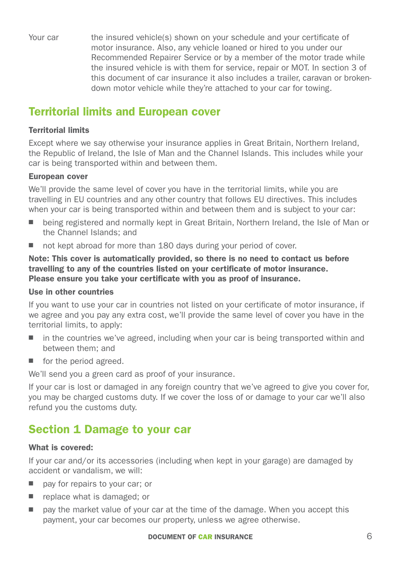Your car the insured vehicle(s) shown on your schedule and your certificate of motor insurance. Also, any vehicle loaned or hired to you under our Recommended Repairer Service or by a member of the motor trade while the insured vehicle is with them for service, repair or MOT. In section 3 of this document of car insurance it also includes a trailer, caravan or brokendown motor vehicle while they're attached to your car for towing.

## <span id="page-5-0"></span>Territorial limits and European cover

#### Territorial limits

Except where we say otherwise your insurance applies in Great Britain, Northern Ireland, the Republic of Ireland, the Isle of Man and the Channel Islands. This includes while your car is being transported within and between them.

#### European cover

We'll provide the same level of cover you have in the territorial limits, while you are travelling in EU countries and any other country that follows EU directives. This includes when your car is being transported within and between them and is subject to your car:

- being registered and normally kept in Great Britain, Northern Ireland, the Isle of Man or the Channel Islands; and
- $\blacksquare$  not kept abroad for more than 180 days during your period of cover.

Note: This cover is automatically provided, so there is no need to contact us before travelling to any of the countries listed on your certificate of motor insurance. Please ensure you take your certificate with you as proof of insurance.

#### Use in other countries

If you want to use your car in countries not listed on your certificate of motor insurance, if we agree and you pay any extra cost, we'll provide the same level of cover you have in the territorial limits, to apply:

- n in the countries we've agreed, including when your car is being transported within and between them; and
- $\blacksquare$  for the period agreed.

We'll send you a green card as proof of your insurance.

If your car is lost or damaged in any foreign country that we've agreed to give you cover for, you may be charged customs duty. If we cover the loss of or damage to your car we'll also refund you the customs duty.

## <span id="page-5-1"></span>Section 1 Damage to your car

#### What is covered:

If your car and/or its accessories (including when kept in your garage) are damaged by accident or vandalism, we will:

- $\Box$  pay for repairs to your car; or
- $\blacksquare$  replace what is damaged; or
- n pay the market value of your car at the time of the damage. When you accept this payment, your car becomes our property, unless we agree otherwise.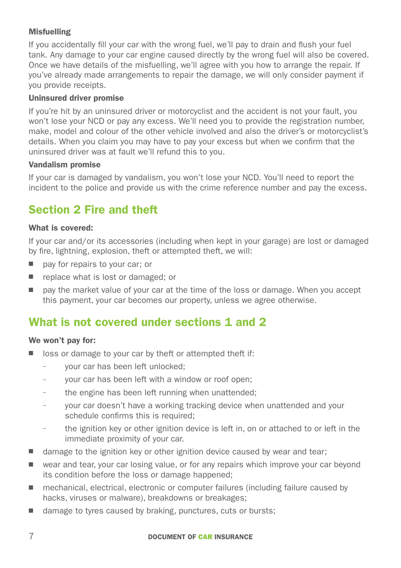#### **Misfuelling**

If you accidentally fill your car with the wrong fuel, we'll pay to drain and flush your fuel tank. Any damage to your car engine caused directly by the wrong fuel will also be covered. Once we have details of the misfuelling, we'll agree with you how to arrange the repair. If you've already made arrangements to repair the damage, we will only consider payment if you provide receipts.

#### Uninsured driver promise

If you're hit by an uninsured driver or motorcyclist and the accident is not your fault, you won't lose your NCD or pay any excess. We'll need you to provide the registration number, make, model and colour of the other vehicle involved and also the driver's or motorcyclist's details. When you claim you may have to pay your excess but when we confirm that the uninsured driver was at fault we'll refund this to you.

#### Vandalism promise

If your car is damaged by vandalism, you won't lose your NCD. You'll need to report the incident to the police and provide us with the crime reference number and pay the excess.

# <span id="page-6-0"></span>Section 2 Fire and theft

#### What is covered:

If your car and/or its accessories (including when kept in your garage) are lost or damaged by fire, lightning, explosion, theft or attempted theft, we will:

- pay for repairs to your car; or
- $\blacksquare$  replace what is lost or damaged; or
- $\Box$  pay the market value of your car at the time of the loss or damage. When you accept this payment, your car becomes our property, unless we agree otherwise.

## <span id="page-6-1"></span>What is not covered under sections 1 and 2

#### We won't pay for:

- $\blacksquare$  loss or damage to your car by theft or attempted theft if:
	- your car has been left unlocked;
	- your car has been left with a window or roof open;
	- the engine has been left running when unattended;
	- your car doesn't have a working tracking device when unattended and your schedule confirms this is required;
	- the ignition key or other ignition device is left in, on or attached to or left in the immediate proximity of your car.
- damage to the ignition key or other ignition device caused by wear and tear;
- wear and tear, your car losing value, or for any repairs which improve your car beyond its condition before the loss or damage happened;
- mechanical, electrical, electronic or computer failures (including failure caused by hacks, viruses or malware), breakdowns or breakages;
- damage to tyres caused by braking, punctures, cuts or bursts;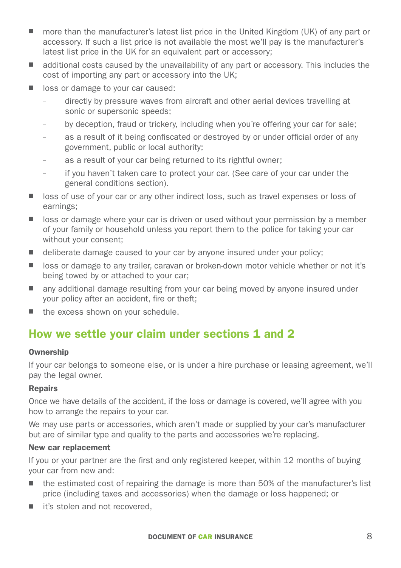- more than the manufacturer's latest list price in the United Kingdom (UK) of any part or accessory. If such a list price is not available the most we'll pay is the manufacturer's latest list price in the UK for an equivalent part or accessory;
- additional costs caused by the unavailability of any part or accessory. This includes the cost of importing any part or accessory into the UK;
- loss or damage to your car caused:
	- directly by pressure waves from aircraft and other aerial devices travelling at sonic or supersonic speeds;
	- by deception, fraud or trickery, including when you're offering your car for sale;
	- as a result of it being confiscated or destroyed by or under official order of any government, public or local authority;
	- as a result of your car being returned to its rightful owner;
	- if you haven't taken care to protect your car. (See care of your car under the general conditions section).
- n loss of use of your car or any other indirect loss, such as travel expenses or loss of earnings;
- $\Box$  loss or damage where your car is driven or used without your permission by a member of your family or household unless you report them to the police for taking your car without your consent;
- $\Box$  deliberate damage caused to your car by anyone insured under your policy;
- loss or damage to any trailer, caravan or broken-down motor vehicle whether or not it's being towed by or attached to your car;
- n any additional damage resulting from your car being moved by anyone insured under your policy after an accident, fire or theft;
- $\blacksquare$  the excess shown on your schedule.

## <span id="page-7-0"></span>How we settle your claim under sections 1 and 2

#### **Ownership**

If your car belongs to someone else, or is under a hire purchase or leasing agreement, we'll pay the legal owner.

#### Repairs

Once we have details of the accident, if the loss or damage is covered, we'll agree with you how to arrange the repairs to your car.

We may use parts or accessories, which aren't made or supplied by your car's manufacturer but are of similar type and quality to the parts and accessories we're replacing.

#### New car replacement

If you or your partner are the first and only registered keeper, within 12 months of buying your car from new and:

- the estimated cost of repairing the damage is more than 50% of the manufacturer's list price (including taxes and accessories) when the damage or loss happened; or
- $\blacksquare$  it's stolen and not recovered.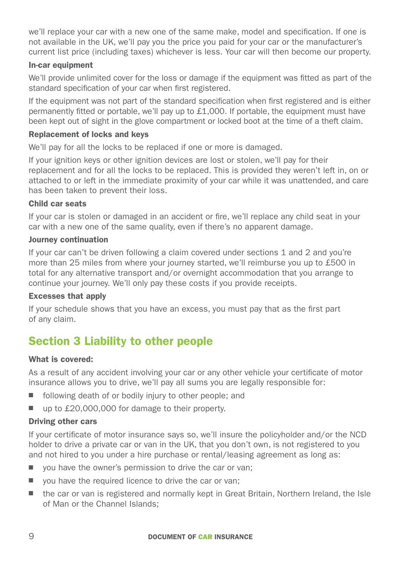we'll replace your car with a new one of the same make, model and specification. If one is not available in the UK, we'll pay you the price you paid for your car or the manufacturer's current list price (including taxes) whichever is less. Your car will then become our property.

#### In-car equipment

We'll provide unlimited cover for the loss or damage if the equipment was fitted as part of the standard specification of your car when first registered.

If the equipment was not part of the standard specification when first registered and is either permanently fitted or portable, we'll pay up to £1,000. If portable, the equipment must have been kept out of sight in the glove compartment or locked boot at the time of a theft claim.

#### Replacement of locks and keys

We'll pay for all the locks to be replaced if one or more is damaged.

If your ignition keys or other ignition devices are lost or stolen, we'll pay for their replacement and for all the locks to be replaced. This is provided they weren't left in, on or attached to or left in the immediate proximity of your car while it was unattended, and care has been taken to prevent their loss.

#### Child car seats

If your car is stolen or damaged in an accident or fire, we'll replace any child seat in your car with a new one of the same quality, even if there's no apparent damage.

#### Journey continuation

If your car can't be driven following a claim covered under sections 1 and 2 and you're more than 25 miles from where your journey started, we'll reimburse you up to £500 in total for any alternative transport and/or overnight accommodation that you arrange to continue your journey. We'll only pay these costs if you provide receipts.

#### Excesses that apply

If your schedule shows that you have an excess, you must pay that as the first part of any claim.

## <span id="page-8-0"></span>Section 3 Liability to other people

#### What is covered:

As a result of any accident involving your car or any other vehicle your certificate of motor insurance allows you to drive, we'll pay all sums you are legally responsible for:

- $\blacksquare$  following death of or bodily injury to other people; and
- up to £20,000,000 for damage to their property.

#### Driving other cars

If your certificate of motor insurance says so, we'll insure the policyholder and/or the NCD holder to drive a private car or van in the UK, that you don't own, is not registered to you and not hired to you under a hire purchase or rental/leasing agreement as long as:

- $\Box$  you have the owner's permission to drive the car or van;
- $\Box$  you have the required licence to drive the car or van;
- $\blacksquare$  the car or van is registered and normally kept in Great Britain, Northern Ireland, the Isle of Man or the Channel Islands;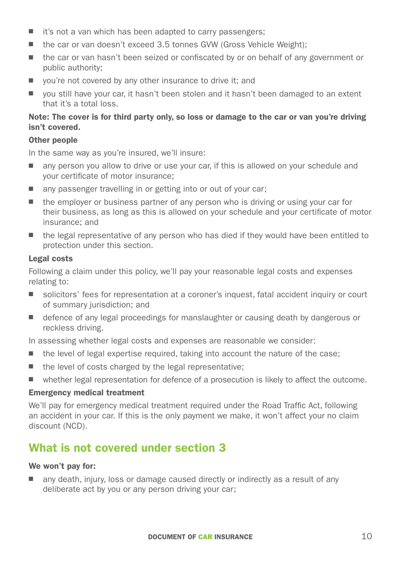- $\blacksquare$  it's not a van which has been adapted to carry passengers;
- the car or van doesn't exceed 3.5 tonnes GVW (Gross Vehicle Weight);
- the car or van hasn't been seized or confiscated by or on behalf of any government or public authority;
- $\Box$  vou're not covered by any other insurance to drive it; and
- vou still have your car, it hasn't been stolen and it hasn't been damaged to an extent that it's a total loss.

#### Note: The cover is for third party only, so loss or damage to the car or van you're driving isn't covered.

#### Other people

In the same way as you're insured, we'll insure:

- n any person you allow to drive or use your car, if this is allowed on your schedule and your certificate of motor insurance;
- $\Box$  any passenger travelling in or getting into or out of your car;
- $\blacksquare$  the employer or business partner of any person who is driving or using your car for their business, as long as this is allowed on your schedule and your certificate of motor insurance; and
- $\blacksquare$  the legal representative of any person who has died if they would have been entitled to protection under this section.

#### Legal costs

Following a claim under this policy, we'll pay your reasonable legal costs and expenses relating to:

- solicitors' fees for representation at a coroner's inquest, fatal accident inquiry or court of summary jurisdiction; and
- $\Box$  defence of any legal proceedings for manslaughter or causing death by dangerous or reckless driving.

In assessing whether legal costs and expenses are reasonable we consider:

- $\blacksquare$  the level of legal expertise required, taking into account the nature of the case;
- $\blacksquare$  the level of costs charged by the legal representative;
- $\blacksquare$  whether legal representation for defence of a prosecution is likely to affect the outcome.

#### Emergency medical treatment

We'll pay for emergency medical treatment required under the Road Traffic Act, following an accident in your car. If this is the only payment we make, it won't affect your no claim discount (NCD).

## <span id="page-9-0"></span>What is not covered under section 3

#### We won't pay for:

any death, injury, loss or damage caused directly or indirectly as a result of any deliberate act by you or any person driving your car;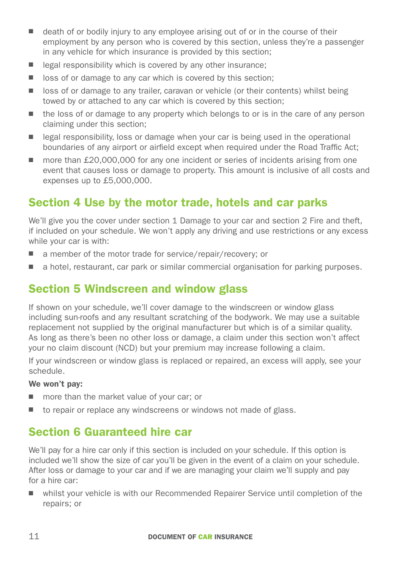- $\blacksquare$  death of or bodily injury to any employee arising out of or in the course of their employment by any person who is covered by this section, unless they're a passenger in any vehicle for which insurance is provided by this section;
- $\Box$  legal responsibility which is covered by any other insurance:
- $\Box$  loss of or damage to any car which is covered by this section;
- loss of or damage to any trailer, caravan or vehicle (or their contents) whilst being towed by or attached to any car which is covered by this section;
- $\blacksquare$  the loss of or damage to any property which belongs to or is in the care of any person claiming under this section;
- $\blacksquare$  legal responsibility, loss or damage when your car is being used in the operational boundaries of any airport or airfield except when required under the Road Traffic Act;
- n more than  $£20,000,000$  for any one incident or series of incidents arising from one event that causes loss or damage to property. This amount is inclusive of all costs and expenses up to £5,000,000.

## <span id="page-10-0"></span>Section 4 Use by the motor trade, hotels and car parks

We'll give you the cover under section 1 Damage to your car and section 2 Fire and theft. if included on your schedule. We won't apply any driving and use restrictions or any excess while your car is with:

- a member of the motor trade for service/repair/recovery; or
- n a hotel, restaurant, car park or similar commercial organisation for parking purposes.

## <span id="page-10-1"></span>Section 5 Windscreen and window glass

If shown on your schedule, we'll cover damage to the windscreen or window glass including sun-roofs and any resultant scratching of the bodywork. We may use a suitable replacement not supplied by the original manufacturer but which is of a similar quality. As long as there's been no other loss or damage, a claim under this section won't affect your no claim discount (NCD) but your premium may increase following a claim.

If your windscreen or window glass is replaced or repaired, an excess will apply, see your schedule.

#### We won't pay:

- $\blacksquare$  more than the market value of your car; or
- $\blacksquare$  to repair or replace any windscreens or windows not made of glass.

## <span id="page-10-2"></span>Section 6 Guaranteed hire car

We'll pay for a hire car only if this section is included on your schedule. If this option is included we'll show the size of car you'll be given in the event of a claim on your schedule. After loss or damage to your car and if we are managing your claim we'll supply and pay for a hire car:

n whilst your vehicle is with our Recommended Repairer Service until completion of the repairs; or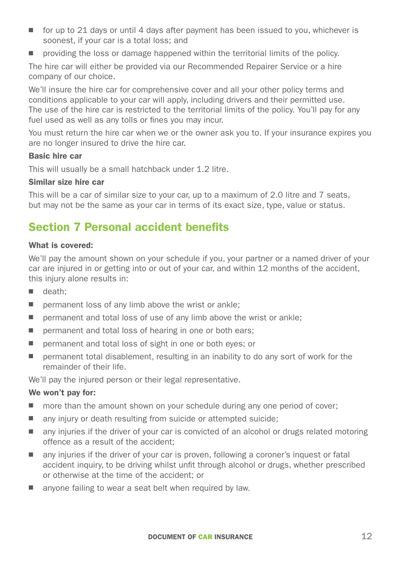- $\Box$  for up to 21 days or until 4 days after payment has been issued to you, whichever is soonest, if your car is a total loss; and
- n providing the loss or damage happened within the territorial limits of the policy.

The hire car will either be provided via our Recommended Repairer Service or a hire company of our choice.

We'll insure the hire car for comprehensive cover and all your other policy terms and conditions applicable to your car will apply, including drivers and their permitted use. The use of the hire car is restricted to the territorial limits of the policy. You'll pay for any fuel used as well as any tolls or fines you may incur.

You must return the hire car when we or the owner ask you to. If your insurance expires you are no longer insured to drive the hire car.

#### Basic hire car

This will usually be a small hatchback under 1.2 litre.

#### Similar size hire car

This will be a car of similar size to your car, up to a maximum of 2.0 litre and 7 seats, but may not be the same as your car in terms of its exact size, type, value or status.

## <span id="page-11-0"></span>Section 7 Personal accident benefits

#### What is covered:

We'll pay the amount shown on your schedule if you, your partner or a named driver of your car are injured in or getting into or out of your car, and within 12 months of the accident, this injury alone results in:

- $\blacksquare$  death:
- $\blacksquare$  permanent loss of any limb above the wrist or ankle:
- $\blacksquare$  permanent and total loss of use of any limb above the wrist or ankle;
- $\blacksquare$  permanent and total loss of hearing in one or both ears;
- permanent and total loss of sight in one or both eyes; or
- $\blacksquare$  permanent total disablement, resulting in an inability to do any sort of work for the remainder of their life.

We'll pay the injured person or their legal representative.

#### We won't pay for:

- n more than the amount shown on your schedule during any one period of cover;
- $\blacksquare$  any injury or death resulting from suicide or attempted suicide;
- n any injuries if the driver of your car is convicted of an alcohol or drugs related motoring offence as a result of the accident;
- n any injuries if the driver of your car is proven, following a coroner's inquest or fatal accident inquiry, to be driving whilst unfit through alcohol or drugs, whether prescribed or otherwise at the time of the accident; or
- $\blacksquare$  anyone failing to wear a seat belt when required by law.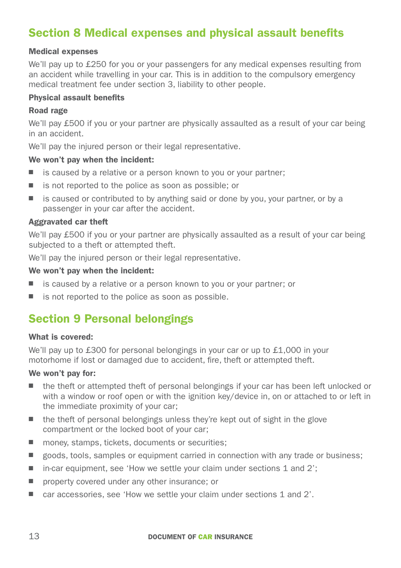## <span id="page-12-0"></span>Section 8 Medical expenses and physical assault benefits

#### Medical expenses

We'll pay up to £250 for you or your passengers for any medical expenses resulting from an accident while travelling in your car. This is in addition to the compulsory emergency medical treatment fee under section 3, liability to other people.

#### Physical assault benefits

#### Road rage

We'll pay £500 if you or your partner are physically assaulted as a result of your car being in an accident.

We'll pay the injured person or their legal representative.

#### We won't pay when the incident:

- $\blacksquare$  is caused by a relative or a person known to you or your partner;
- $\blacksquare$  is not reported to the police as soon as possible; or
- $\blacksquare$  is caused or contributed to by anything said or done by you, your partner, or by a passenger in your car after the accident.

#### Aggravated car theft

We'll pay £500 if you or your partner are physically assaulted as a result of your car being subjected to a theft or attempted theft.

We'll pay the injured person or their legal representative.

#### We won't pay when the incident:

- $\blacksquare$  is caused by a relative or a person known to you or your partner; or
- $\blacksquare$  is not reported to the police as soon as possible.

## <span id="page-12-1"></span>Section 9 Personal belongings

#### What is covered:

We'll pay up to £300 for personal belongings in your car or up to £1,000 in your motorhome if lost or damaged due to accident, fire, theft or attempted theft.

#### We won't pay for:

- $\blacksquare$  the theft or attempted theft of personal belongings if your car has been left unlocked or with a window or roof open or with the ignition key/device in, on or attached to or left in the immediate proximity of your car;
- $\blacksquare$  the theft of personal belongings unless they're kept out of sight in the glove compartment or the locked boot of your car;
- $\blacksquare$  money, stamps, tickets, documents or securities;
- goods, tools, samples or equipment carried in connection with any trade or business;
- $\blacksquare$  in-car equipment, see 'How we settle your claim under sections 1 and 2';
- $\blacksquare$  property covered under any other insurance; or
- car accessories, see 'How we settle your claim under sections 1 and 2'.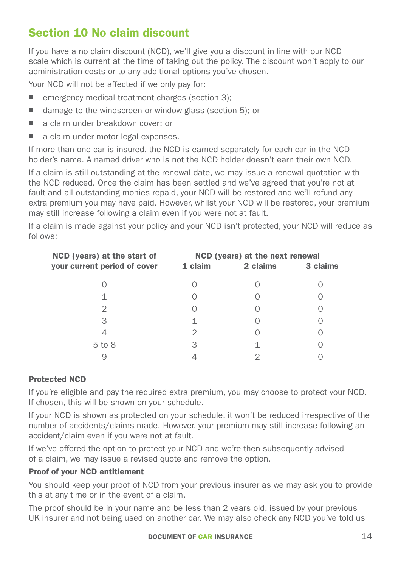# <span id="page-13-0"></span>Section 10 No claim discount

If you have a no claim discount (NCD), we'll give you a discount in line with our NCD scale which is current at the time of taking out the policy. The discount won't apply to our administration costs or to any additional options you've chosen.

Your NCD will not be affected if we only pay for:

- $\blacksquare$  emergency medical treatment charges (section 3);
- $\blacksquare$  damage to the windscreen or window glass (section 5); or
- a claim under breakdown cover; or
- $\Box$  a claim under motor legal expenses.

If more than one car is insured, the NCD is earned separately for each car in the NCD holder's name. A named driver who is not the NCD holder doesn't earn their own NCD.

If a claim is still outstanding at the renewal date, we may issue a renewal quotation with the NCD reduced. Once the claim has been settled and we've agreed that you're not at fault and all outstanding monies repaid, your NCD will be restored and we'll refund any extra premium you may have paid. However, whilst your NCD will be restored, your premium may still increase following a claim even if you were not at fault.

If a claim is made against your policy and your NCD isn't protected, your NCD will reduce as follows:

| NCD (years) at the start of  | NCD (years) at the next renewal |                   |  |
|------------------------------|---------------------------------|-------------------|--|
| your current period of cover | 1 claim                         | 2 claims 3 claims |  |
|                              |                                 |                   |  |
|                              |                                 |                   |  |
|                              |                                 |                   |  |
| 3                            |                                 |                   |  |
|                              | 2                               |                   |  |
| $5$ to $8$                   | 3                               |                   |  |
|                              |                                 |                   |  |

#### Protected NCD

If you're eligible and pay the required extra premium, you may choose to protect your NCD. If chosen, this will be shown on your schedule.

If your NCD is shown as protected on your schedule, it won't be reduced irrespective of the number of accidents/claims made. However, your premium may still increase following an accident/claim even if you were not at fault.

If we've offered the option to protect your NCD and we're then subsequently advised of a claim, we may issue a revised quote and remove the option.

#### Proof of your NCD entitlement

You should keep your proof of NCD from your previous insurer as we may ask you to provide this at any time or in the event of a claim.

The proof should be in your name and be less than 2 years old, issued by your previous UK insurer and not being used on another car. We may also check any NCD you've told us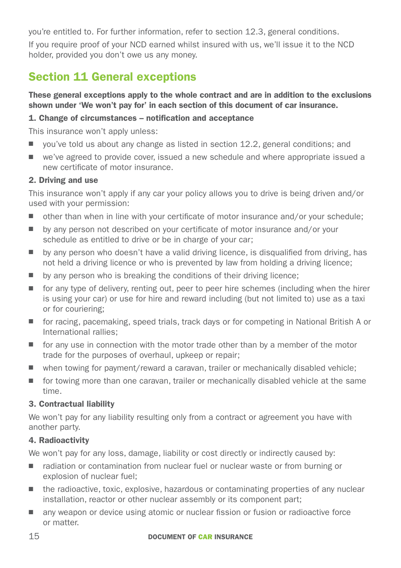you're entitled to. For further information, refer to section 12.3, general conditions.

If you require proof of your NCD earned whilst insured with us, we'll issue it to the NCD holder, provided you don't owe us any money.

# <span id="page-14-0"></span>Section 11 General exceptions

#### These general exceptions apply to the whole contract and are in addition to the exclusions shown under 'We won't pay for' in each section of this document of car insurance.

#### 1. Change of circumstances – notification and acceptance

This insurance won't apply unless:

- $\Box$  you've told us about any change as listed in section 12.2, general conditions; and
- $\Box$  we've agreed to provide cover, issued a new schedule and where appropriate issued a new certificate of motor insurance.

#### 2. Driving and use

This insurance won't apply if any car your policy allows you to drive is being driven and/or used with your permission:

- $\Box$  other than when in line with your certificate of motor insurance and/or your schedule;
- by any person not described on your certificate of motor insurance and/or your schedule as entitled to drive or be in charge of your car;
- $\Box$  by any person who doesn't have a valid driving licence, is disqualified from driving, has not held a driving licence or who is prevented by law from holding a driving licence;
- $\blacksquare$  by any person who is breaking the conditions of their driving licence;
- $\blacksquare$  for any type of delivery, renting out, peer to peer hire schemes (including when the hirer is using your car) or use for hire and reward including (but not limited to) use as a taxi or for couriering;
- for racing, pacemaking, speed trials, track days or for competing in National British A or International rallies;
- $\blacksquare$  for any use in connection with the motor trade other than by a member of the motor trade for the purposes of overhaul, upkeep or repair;
- $\blacksquare$  when towing for payment/reward a caravan, trailer or mechanically disabled vehicle;
- $\blacksquare$  for towing more than one caravan, trailer or mechanically disabled vehicle at the same time.

#### 3. Contractual liability

We won't pay for any liability resulting only from a contract or agreement you have with another party.

#### 4. Radioactivity

We won't pay for any loss, damage, liability or cost directly or indirectly caused by:

- radiation or contamination from nuclear fuel or nuclear waste or from burning or explosion of nuclear fuel;
- $\blacksquare$  the radioactive, toxic, explosive, hazardous or contaminating properties of any nuclear installation, reactor or other nuclear assembly or its component part;
- $\blacksquare$  any weapon or device using atomic or nuclear fission or fusion or radioactive force or matter.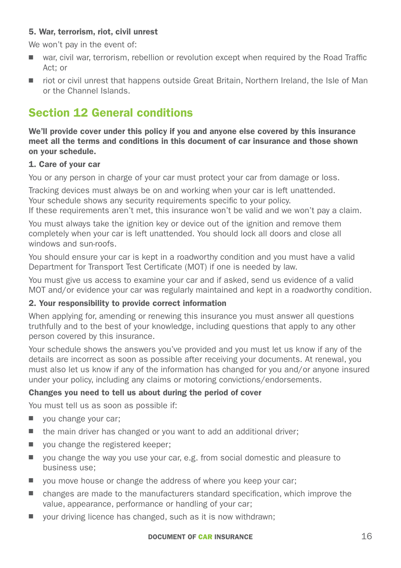#### 5. War, terrorism, riot, civil unrest

We won't pay in the event of:

- war, civil war, terrorism, rebellion or revolution except when required by the Road Traffic Act; or
- riot or civil unrest that happens outside Great Britain, Northern Ireland, the Isle of Man or the Channel Islands.

## <span id="page-15-0"></span>Section 12 General conditions

We'll provide cover under this policy if you and anyone else covered by this insurance meet all the terms and conditions in this document of car insurance and those shown on your schedule.

#### 1. Care of your car

You or any person in charge of your car must protect your car from damage or loss.

Tracking devices must always be on and working when your car is left unattended. Your schedule shows any security requirements specific to your policy.

If these requirements aren't met, this insurance won't be valid and we won't pay a claim.

You must always take the ignition key or device out of the ignition and remove them completely when your car is left unattended. You should lock all doors and close all windows and sun-roofs.

You should ensure your car is kept in a roadworthy condition and you must have a valid Department for Transport Test Certificate (MOT) if one is needed by law.

You must give us access to examine your car and if asked, send us evidence of a valid MOT and/or evidence your car was regularly maintained and kept in a roadworthy condition.

#### 2. Your responsibility to provide correct information

When applying for, amending or renewing this insurance you must answer all questions truthfully and to the best of your knowledge, including questions that apply to any other person covered by this insurance.

Your schedule shows the answers you've provided and you must let us know if any of the details are incorrect as soon as possible after receiving your documents. At renewal, you must also let us know if any of the information has changed for you and/or anyone insured under your policy, including any claims or motoring convictions/endorsements.

#### Changes you need to tell us about during the period of cover

You must tell us as soon as possible if:

- $\blacksquare$  vou change your car:
- $\blacksquare$  the main driver has changed or you want to add an additional driver;
- $\Box$  you change the registered keeper;
- $\Box$  you change the way you use your car, e.g. from social domestic and pleasure to business use;
- $\Box$  you move house or change the address of where you keep your car;
- $\blacksquare$  changes are made to the manufacturers standard specification, which improve the value, appearance, performance or handling of your car;
- vour driving licence has changed, such as it is now withdrawn;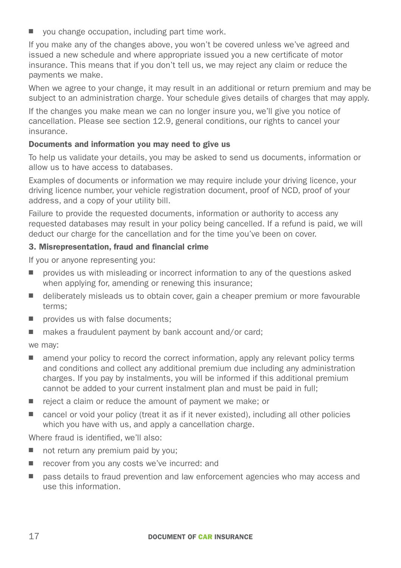vou change occupation, including part time work.

If you make any of the changes above, you won't be covered unless we've agreed and issued a new schedule and where appropriate issued you a new certificate of motor insurance. This means that if you don't tell us, we may reject any claim or reduce the payments we make.

When we agree to your change, it may result in an additional or return premium and may be subject to an administration charge. Your schedule gives details of charges that may apply.

If the changes you make mean we can no longer insure you, we'll give you notice of cancellation. Please see section 12.9, general conditions, our rights to cancel your insurance.

#### Documents and information you may need to give us

To help us validate your details, you may be asked to send us documents, information or allow us to have access to databases.

Examples of documents or information we may require include your driving licence, your driving licence number, your vehicle registration document, proof of NCD, proof of your address, and a copy of your utility bill.

Failure to provide the requested documents, information or authority to access any requested databases may result in your policy being cancelled. If a refund is paid, we will deduct our charge for the cancellation and for the time you've been on cover.

#### 3. Misrepresentation, fraud and financial crime

If you or anyone representing you:

- $\blacksquare$  provides us with misleading or incorrect information to any of the questions asked when applying for, amending or renewing this insurance;
- deliberately misleads us to obtain cover, gain a cheaper premium or more favourable terms;
- $\Box$  provides us with false documents:
- $\blacksquare$  makes a fraudulent payment by bank account and/or card;

we may:

- $\blacksquare$  amend your policy to record the correct information, apply any relevant policy terms and conditions and collect any additional premium due including any administration charges. If you pay by instalments, you will be informed if this additional premium cannot be added to your current instalment plan and must be paid in full;
- $\blacksquare$  reject a claim or reduce the amount of payment we make; or
- $\Box$  cancel or void your policy (treat it as if it never existed), including all other policies which you have with us, and apply a cancellation charge.

Where fraud is identified, we'll also:

- $\blacksquare$  not return any premium paid by you:
- recover from you any costs we've incurred: and
- pass details to fraud prevention and law enforcement agencies who may access and use this information.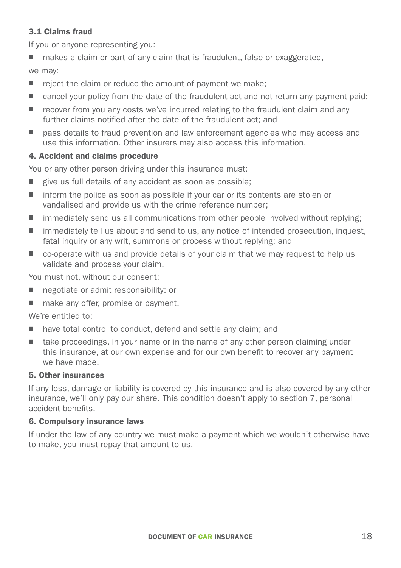#### 3.1 Claims fraud

If you or anyone representing you:

 $\blacksquare$  makes a claim or part of any claim that is fraudulent, false or exaggerated,

we may:

- $\blacksquare$  reject the claim or reduce the amount of payment we make:
- $\Box$  cancel your policy from the date of the fraudulent act and not return any payment paid;
- $\blacksquare$  recover from you any costs we've incurred relating to the fraudulent claim and any further claims notified after the date of the fraudulent act; and
- pass details to fraud prevention and law enforcement agencies who may access and use this information. Other insurers may also access this information.

#### 4. Accident and claims procedure

You or any other person driving under this insurance must:

- $\Box$  give us full details of any accident as soon as possible;
- inform the police as soon as possible if your car or its contents are stolen or vandalised and provide us with the crime reference number;
- $\blacksquare$  immediately send us all communications from other people involved without replying:
- $\blacksquare$  immediately tell us about and send to us, any notice of intended prosecution, inquest, fatal inquiry or any writ, summons or process without replying; and
- $\Box$  co-operate with us and provide details of your claim that we may request to help us validate and process your claim.

You must not, without our consent:

- negotiate or admit responsibility: or
- make any offer, promise or payment.

We're entitled to:

- $\blacksquare$  have total control to conduct, defend and settle any claim; and
- take proceedings, in your name or in the name of any other person claiming under this insurance, at our own expense and for our own benefit to recover any payment we have made.

#### 5. Other insurances

If any loss, damage or liability is covered by this insurance and is also covered by any other insurance, we'll only pay our share. This condition doesn't apply to section 7, personal accident benefits.

#### 6. Compulsory insurance laws

If under the law of any country we must make a payment which we wouldn't otherwise have to make, you must repay that amount to us.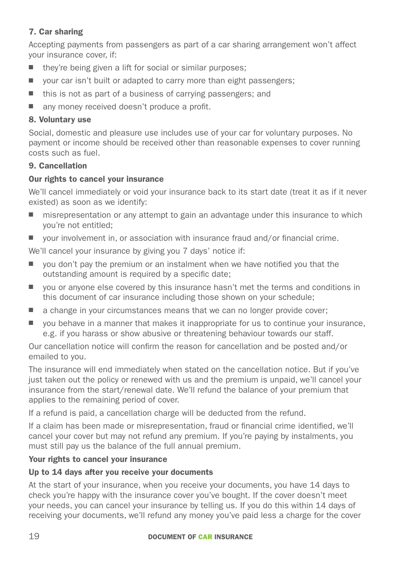#### 7. Car sharing

Accepting payments from passengers as part of a car sharing arrangement won't affect your insurance cover, if:

- $\blacksquare$  they're being given a lift for social or similar purposes;
- $\Box$  vour car isn't built or adapted to carry more than eight passengers;
- $\blacksquare$  this is not as part of a business of carrying passengers; and
- $\blacksquare$  any money received doesn't produce a profit.

#### 8. Voluntary use

Social, domestic and pleasure use includes use of your car for voluntary purposes. No payment or income should be received other than reasonable expenses to cover running costs such as fuel.

#### 9. Cancellation

#### Our rights to cancel your insurance

We'll cancel immediately or void your insurance back to its start date (treat it as if it never existed) as soon as we identify:

- $\blacksquare$  misrepresentation or any attempt to gain an advantage under this insurance to which you're not entitled;
- $\blacksquare$  vour involvement in, or association with insurance fraud and/or financial crime.

We'll cancel your insurance by giving you 7 days' notice if:

- $\Box$  vou don't pay the premium or an instalment when we have notified you that the outstanding amount is required by a specific date;
- $\Box$  vou or anyone else covered by this insurance hasn't met the terms and conditions in this document of car insurance including those shown on your schedule;
- $\blacksquare$  a change in your circumstances means that we can no longer provide cover:
- $\Box$  you behave in a manner that makes it inappropriate for us to continue your insurance, e.g. if you harass or show abusive or threatening behaviour towards our staff.

Our cancellation notice will confirm the reason for cancellation and be posted and/or emailed to you.

The insurance will end immediately when stated on the cancellation notice. But if you've just taken out the policy or renewed with us and the premium is unpaid, we'll cancel your insurance from the start/renewal date. We'll refund the balance of your premium that applies to the remaining period of cover.

If a refund is paid, a cancellation charge will be deducted from the refund.

If a claim has been made or misrepresentation, fraud or financial crime identified, we'll cancel your cover but may not refund any premium. If you're paying by instalments, you must still pay us the balance of the full annual premium.

#### Your rights to cancel your insurance

#### Up to 14 days after you receive your documents

At the start of your insurance, when you receive your documents, you have 14 days to check you're happy with the insurance cover you've bought. If the cover doesn't meet your needs, you can cancel your insurance by telling us. If you do this within 14 days of receiving your documents, we'll refund any money you've paid less a charge for the cover

#### 19 DOCUMENT OF CAR INSURANCE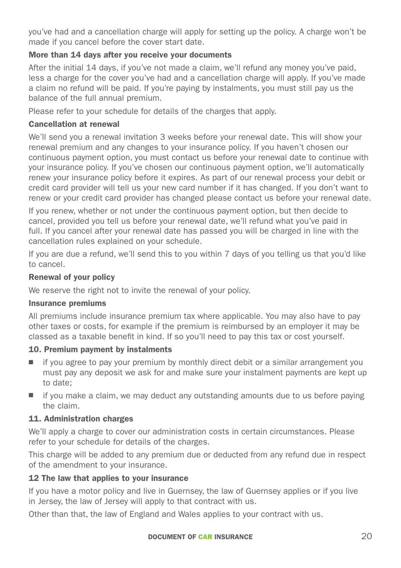you've had and a cancellation charge will apply for setting up the policy. A charge won't be made if you cancel before the cover start date.

#### More than 14 days after you receive your documents

After the initial 14 days, if you've not made a claim, we'll refund any money you've paid, less a charge for the cover you've had and a cancellation charge will apply. If you've made a claim no refund will be paid. If you're paying by instalments, you must still pay us the balance of the full annual premium.

Please refer to your schedule for details of the charges that apply.

#### Cancellation at renewal

We'll send you a renewal invitation 3 weeks before your renewal date. This will show your renewal premium and any changes to your insurance policy. If you haven't chosen our continuous payment option, you must contact us before your renewal date to continue with your insurance policy. If you've chosen our continuous payment option, we'll automatically renew your insurance policy before it expires. As part of our renewal process your debit or credit card provider will tell us your new card number if it has changed. If you don't want to renew or your credit card provider has changed please contact us before your renewal date.

If you renew, whether or not under the continuous payment option, but then decide to cancel, provided you tell us before your renewal date, we'll refund what you've paid in full. If you cancel after your renewal date has passed you will be charged in line with the cancellation rules explained on your schedule.

If you are due a refund, we'll send this to you within 7 days of you telling us that you'd like to cancel.

#### Renewal of your policy

We reserve the right not to invite the renewal of your policy.

#### Insurance premiums

All premiums include insurance premium tax where applicable. You may also have to pay other taxes or costs, for example if the premium is reimbursed by an employer it may be classed as a taxable benefit in kind. If so you'll need to pay this tax or cost yourself.

#### 10. Premium payment by instalments

- $\blacksquare$  if you agree to pay your premium by monthly direct debit or a similar arrangement you must pay any deposit we ask for and make sure your instalment payments are kept up to date;
- $\blacksquare$  if you make a claim, we may deduct any outstanding amounts due to us before paying the claim.

#### 11. Administration charges

We'll apply a charge to cover our administration costs in certain circumstances. Please refer to your schedule for details of the charges.

This charge will be added to any premium due or deducted from any refund due in respect of the amendment to your insurance.

#### 12 The law that applies to your insurance

If you have a motor policy and live in Guernsey, the law of Guernsey applies or if you live in Jersey, the law of Jersey will apply to that contract with us.

Other than that, the law of England and Wales applies to your contract with us.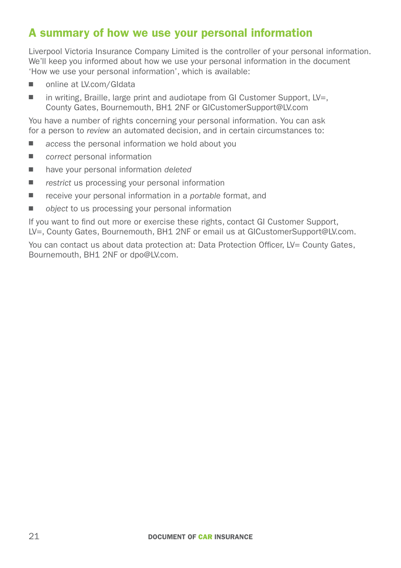## <span id="page-20-0"></span>A summary of how we use your personal information

Liverpool Victoria Insurance Company Limited is the controller of your personal information. We'll keep you informed about how we use your personal information in the document 'How we use your personal information', which is available:

- online at [LV.com/GIdata](http://www.lv.com/gidata)
- $\blacksquare$  in writing, Braille, large print and audiotape from GI Customer Support, LV=, County Gates, Bournemouth, BH1 2NF or GICustomerSupport@LV.com

You have a number of rights concerning your personal information. You can ask for a person to *review* an automated decision, and in certain circumstances to:

- *access* the personal information we hold about you
- *correct* personal information
- have your personal information *deleted*
- *restrict* us processing your personal information
- receive your personal information in a *portable* format, and
- *object* to us processing your personal information

If you want to find out more or exercise these rights, contact GI Customer Support, LV=, County Gates, Bournemouth, BH1 2NF or email us at GICustomerSupport@LV.com.

You can contact us about data protection at: Data Protection Officer, LV= County Gates, Bournemouth, BH1 2NF or dpo@LV.com.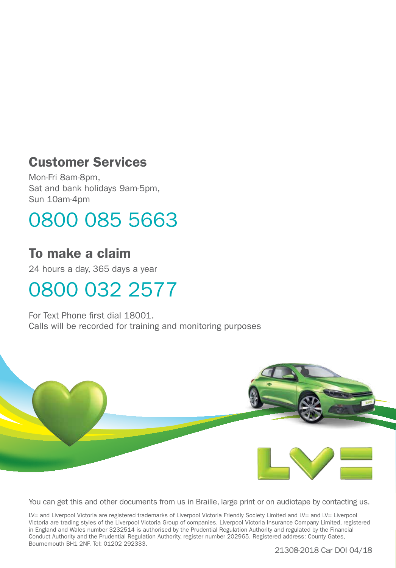# Customer Services

Mon-Fri 8am-8pm, Sat and bank holidays 9am-5pm, Sun 10am-4pm

# 0800 085 5663

# To make a claim

24 hours a day, 365 days a year

# 0800 032 2577

For Text Phone first dial 18001. Calls will be recorded for training and monitoring purposes



You can get this and other documents from us in Braille, large print or on audiotape by contacting us.

LV= and Liverpool Victoria are registered trademarks of Liverpool Victoria Friendly Society Limited and LV= and LV= Liverpool Victoria are trading styles of the Liverpool Victoria Group of companies. Liverpool Victoria Insurance Company Limited, registered in England and Wales number 3232514 is authorised by the Prudential Regulation Authority and regulated by the Financial Conduct Authority and the Prudential Regulation Authority, register number 202965. Registered address: County Gates, Bournemouth BH1 2NF. Tel: 01202 292333.

21308-2018 Car DOI 04/18